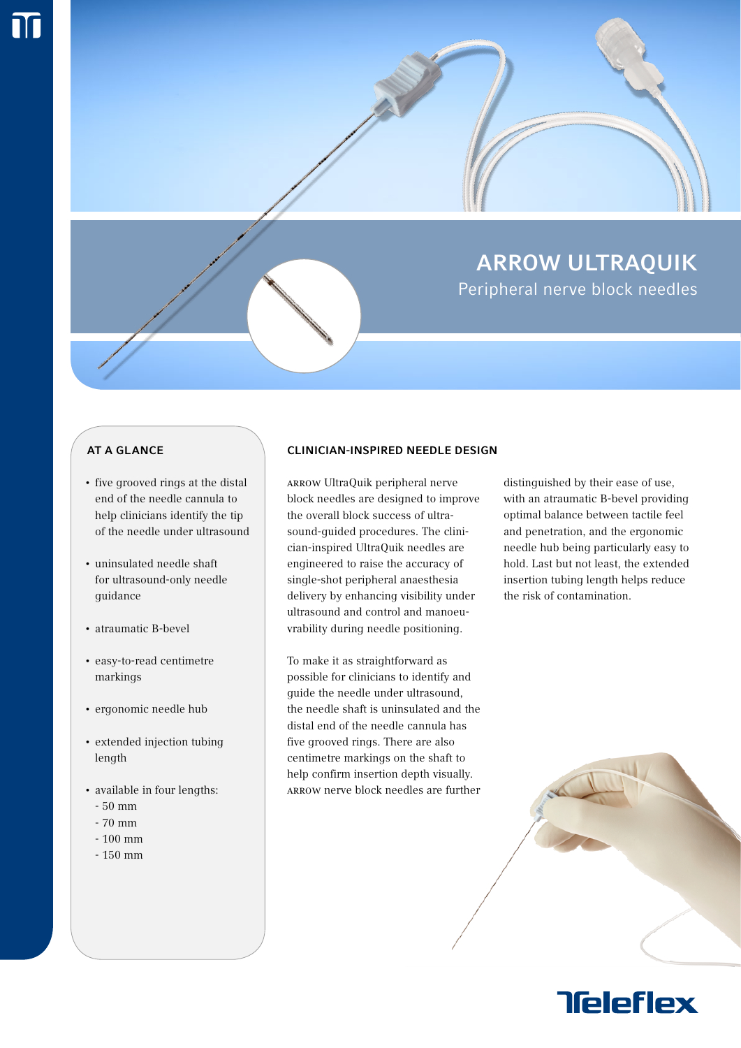

## **AT A GLANCE**

- five grooved rings at the distal end of the needle cannula to help clinicians identify the tip of the needle under ultrasound
- uninsulated needle shaft for ultrasound-only needle guidance
- atraumatic B-bevel
- easy-to-read centimetre markings
- ergonomic needle hub
- extended injection tubing length
- available in four lengths:
	- 50 mm
	- 70 mm
	- 100 mm
	- 150 mm

### Clinician-Inspired Needle Design

Arrow UltraQuik peripheral nerve block needles are designed to improve the overall block success of ultrasound-guided procedures. The clinician-inspired UltraQuik needles are engineered to raise the accuracy of single-shot peripheral anaesthesia delivery by enhancing visibility under ultrasound and control and manoeuvrability during needle positioning.

To make it as straightforward as possible for clinicians to identify and guide the needle under ultrasound, the needle shaft is uninsulated and the distal end of the needle cannula has five grooved rings. There are also centimetre markings on the shaft to help confirm insertion depth visually. Arrow nerve block needles are further

distinguished by their ease of use, with an atraumatic B-bevel providing optimal balance between tactile feel and penetration, and the ergonomic needle hub being particularly easy to hold. Last but not least, the extended insertion tubing length helps reduce the risk of contamination.